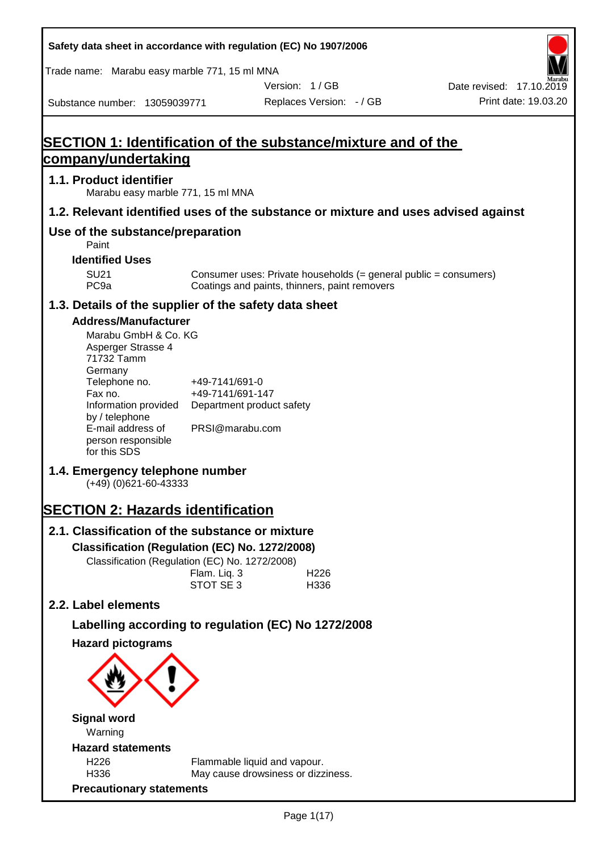| Safety data sheet in accordance with regulation (EC) No 1907/2006                                                                                                                                                                   |                                                       |                                               |                          |                                                                  |                          |
|-------------------------------------------------------------------------------------------------------------------------------------------------------------------------------------------------------------------------------------|-------------------------------------------------------|-----------------------------------------------|--------------------------|------------------------------------------------------------------|--------------------------|
| Trade name: Marabu easy marble 771, 15 ml MNA                                                                                                                                                                                       |                                                       |                                               |                          |                                                                  |                          |
|                                                                                                                                                                                                                                     |                                                       | Version: 1/GB                                 |                          |                                                                  | Date revised: 17.10.2019 |
| Substance number: 13059039771                                                                                                                                                                                                       |                                                       |                                               | Replaces Version: - / GB |                                                                  | Print date: 19.03.20     |
| <b>SECTION 1: Identification of the substance/mixture and of the</b><br>company/undertaking                                                                                                                                         |                                                       |                                               |                          |                                                                  |                          |
| 1.1. Product identifier<br>Marabu easy marble 771, 15 ml MNA                                                                                                                                                                        |                                                       |                                               |                          |                                                                  |                          |
| 1.2. Relevant identified uses of the substance or mixture and uses advised against                                                                                                                                                  |                                                       |                                               |                          |                                                                  |                          |
| Use of the substance/preparation<br>Paint                                                                                                                                                                                           |                                                       |                                               |                          |                                                                  |                          |
| <b>Identified Uses</b>                                                                                                                                                                                                              |                                                       |                                               |                          |                                                                  |                          |
| <b>SU21</b><br>PC <sub>9a</sub>                                                                                                                                                                                                     |                                                       | Coatings and paints, thinners, paint removers |                          | Consumer uses: Private households (= general public = consumers) |                          |
| 1.3. Details of the supplier of the safety data sheet                                                                                                                                                                               |                                                       |                                               |                          |                                                                  |                          |
| <b>Address/Manufacturer</b><br>Marabu GmbH & Co. KG<br>Asperger Strasse 4<br>71732 Tamm<br>Germany<br>Telephone no.<br>Fax no.<br>Information provided<br>by / telephone<br>E-mail address of<br>person responsible<br>for this SDS | +49-7141/691-0<br>+49-7141/691-147<br>PRSI@marabu.com | Department product safety                     |                          |                                                                  |                          |
| 1.4. Emergency telephone number<br>$(+49)$ (0)621-60-43333                                                                                                                                                                          |                                                       |                                               |                          |                                                                  |                          |
| <b>SECTION 2: Hazards identification</b>                                                                                                                                                                                            |                                                       |                                               |                          |                                                                  |                          |
| 2.1. Classification of the substance or mixture                                                                                                                                                                                     |                                                       |                                               |                          |                                                                  |                          |
| Classification (Regulation (EC) No. 1272/2008)                                                                                                                                                                                      |                                                       |                                               |                          |                                                                  |                          |
| Classification (Regulation (EC) No. 1272/2008)                                                                                                                                                                                      |                                                       |                                               |                          |                                                                  |                          |
|                                                                                                                                                                                                                                     | Flam. Liq. 3<br>STOT SE 3                             |                                               | H <sub>226</sub><br>H336 |                                                                  |                          |
| 2.2. Label elements                                                                                                                                                                                                                 |                                                       |                                               |                          |                                                                  |                          |
| Labelling according to regulation (EC) No 1272/2008                                                                                                                                                                                 |                                                       |                                               |                          |                                                                  |                          |
| <b>Hazard pictograms</b>                                                                                                                                                                                                            |                                                       |                                               |                          |                                                                  |                          |
|                                                                                                                                                                                                                                     |                                                       |                                               |                          |                                                                  |                          |
| <b>Signal word</b>                                                                                                                                                                                                                  |                                                       |                                               |                          |                                                                  |                          |
| Warning<br><b>Hazard statements</b>                                                                                                                                                                                                 |                                                       |                                               |                          |                                                                  |                          |
| H226                                                                                                                                                                                                                                |                                                       | Flammable liquid and vapour.                  |                          |                                                                  |                          |
| H336                                                                                                                                                                                                                                |                                                       | May cause drowsiness or dizziness.            |                          |                                                                  |                          |
| <b>Precautionary statements</b>                                                                                                                                                                                                     |                                                       |                                               |                          |                                                                  |                          |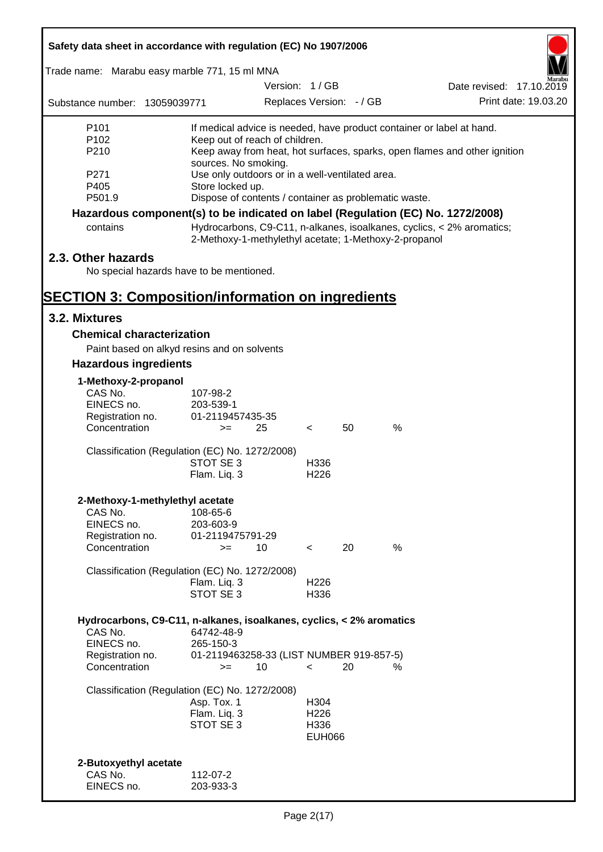| Safety data sheet in accordance with regulation (EC) No 1907/2006               |                                                                                                                                |                                                                     |                          |                          |      |                                                                           |                      |
|---------------------------------------------------------------------------------|--------------------------------------------------------------------------------------------------------------------------------|---------------------------------------------------------------------|--------------------------|--------------------------|------|---------------------------------------------------------------------------|----------------------|
| Trade name: Marabu easy marble 771, 15 ml MNA                                   |                                                                                                                                |                                                                     |                          |                          |      |                                                                           |                      |
|                                                                                 |                                                                                                                                | Version: 1/GB                                                       |                          |                          |      | Date revised: 17.10.2019                                                  |                      |
| Substance number: 13059039771                                                   |                                                                                                                                |                                                                     |                          | Replaces Version: - / GB |      |                                                                           | Print date: 19.03.20 |
| P <sub>101</sub>                                                                |                                                                                                                                |                                                                     |                          |                          |      | If medical advice is needed, have product container or label at hand.     |                      |
| P <sub>102</sub>                                                                | Keep out of reach of children.                                                                                                 |                                                                     |                          |                          |      |                                                                           |                      |
| P210                                                                            |                                                                                                                                |                                                                     |                          |                          |      | Keep away from heat, hot surfaces, sparks, open flames and other ignition |                      |
| P <sub>271</sub>                                                                |                                                                                                                                | sources. No smoking.                                                |                          |                          |      |                                                                           |                      |
| P405                                                                            |                                                                                                                                | Use only outdoors or in a well-ventilated area.<br>Store locked up. |                          |                          |      |                                                                           |                      |
| P501.9                                                                          | Dispose of contents / container as problematic waste.                                                                          |                                                                     |                          |                          |      |                                                                           |                      |
| Hazardous component(s) to be indicated on label (Regulation (EC) No. 1272/2008) |                                                                                                                                |                                                                     |                          |                          |      |                                                                           |                      |
| contains                                                                        | Hydrocarbons, C9-C11, n-alkanes, isoalkanes, cyclics, < 2% aromatics;<br>2-Methoxy-1-methylethyl acetate; 1-Methoxy-2-propanol |                                                                     |                          |                          |      |                                                                           |                      |
| 2.3. Other hazards                                                              |                                                                                                                                |                                                                     |                          |                          |      |                                                                           |                      |
|                                                                                 | No special hazards have to be mentioned.                                                                                       |                                                                     |                          |                          |      |                                                                           |                      |
| <b>SECTION 3: Composition/information on ingredients</b>                        |                                                                                                                                |                                                                     |                          |                          |      |                                                                           |                      |
| 3.2. Mixtures                                                                   |                                                                                                                                |                                                                     |                          |                          |      |                                                                           |                      |
| <b>Chemical characterization</b>                                                |                                                                                                                                |                                                                     |                          |                          |      |                                                                           |                      |
|                                                                                 | Paint based on alkyd resins and on solvents                                                                                    |                                                                     |                          |                          |      |                                                                           |                      |
| <b>Hazardous ingredients</b>                                                    |                                                                                                                                |                                                                     |                          |                          |      |                                                                           |                      |
| 1-Methoxy-2-propanol                                                            |                                                                                                                                |                                                                     |                          |                          |      |                                                                           |                      |
| CAS No.                                                                         | 107-98-2                                                                                                                       |                                                                     |                          |                          |      |                                                                           |                      |
| EINECS no.                                                                      | 203-539-1                                                                                                                      |                                                                     |                          |                          |      |                                                                           |                      |
| Registration no.<br>Concentration                                               | 01-2119457435-35<br>$>=$                                                                                                       | 25                                                                  | $\lt$                    | 50                       | $\%$ |                                                                           |                      |
|                                                                                 | Classification (Regulation (EC) No. 1272/2008)                                                                                 |                                                                     |                          |                          |      |                                                                           |                      |
|                                                                                 | STOT SE 3                                                                                                                      |                                                                     | H336                     |                          |      |                                                                           |                      |
|                                                                                 | Flam. Liq. 3                                                                                                                   |                                                                     | H <sub>226</sub>         |                          |      |                                                                           |                      |
|                                                                                 | 2-Methoxy-1-methylethyl acetate                                                                                                |                                                                     |                          |                          |      |                                                                           |                      |
| CAS No.                                                                         | 108-65-6                                                                                                                       |                                                                     |                          |                          |      |                                                                           |                      |
| EINECS no.                                                                      | 203-603-9                                                                                                                      |                                                                     |                          |                          |      |                                                                           |                      |
| Registration no.<br>Concentration                                               | 01-2119475791-29<br>$>=$                                                                                                       | 10                                                                  | $\overline{\phantom{0}}$ | 20                       | %    |                                                                           |                      |
|                                                                                 |                                                                                                                                |                                                                     |                          |                          |      |                                                                           |                      |
|                                                                                 | Classification (Regulation (EC) No. 1272/2008)                                                                                 |                                                                     |                          |                          |      |                                                                           |                      |
|                                                                                 | Flam. Liq. 3<br>STOT SE 3                                                                                                      |                                                                     | H <sub>226</sub>         |                          |      |                                                                           |                      |
|                                                                                 |                                                                                                                                |                                                                     | H336                     |                          |      |                                                                           |                      |
|                                                                                 | Hydrocarbons, C9-C11, n-alkanes, isoalkanes, cyclics, < 2% aromatics                                                           |                                                                     |                          |                          |      |                                                                           |                      |
| CAS No.                                                                         | 64742-48-9                                                                                                                     |                                                                     |                          |                          |      |                                                                           |                      |
| EINECS no.                                                                      | 265-150-3<br>01-2119463258-33 (LIST NUMBER 919-857-5)                                                                          |                                                                     |                          |                          |      |                                                                           |                      |
| Registration no.<br>Concentration                                               | $>=$                                                                                                                           | 10                                                                  | $\prec$                  | 20                       | %    |                                                                           |                      |
|                                                                                 | Classification (Regulation (EC) No. 1272/2008)                                                                                 |                                                                     |                          |                          |      |                                                                           |                      |
|                                                                                 | Asp. Tox. 1                                                                                                                    |                                                                     | H304                     |                          |      |                                                                           |                      |
|                                                                                 | Flam. Liq. 3<br>STOT SE 3                                                                                                      |                                                                     | H <sub>226</sub><br>H336 |                          |      |                                                                           |                      |
|                                                                                 |                                                                                                                                |                                                                     | <b>EUH066</b>            |                          |      |                                                                           |                      |
|                                                                                 |                                                                                                                                |                                                                     |                          |                          |      |                                                                           |                      |
| 2-Butoxyethyl acetate<br>CAS No.                                                | 112-07-2                                                                                                                       |                                                                     |                          |                          |      |                                                                           |                      |
| EINECS no.                                                                      | 203-933-3                                                                                                                      |                                                                     |                          |                          |      |                                                                           |                      |
|                                                                                 |                                                                                                                                |                                                                     |                          |                          |      |                                                                           |                      |

7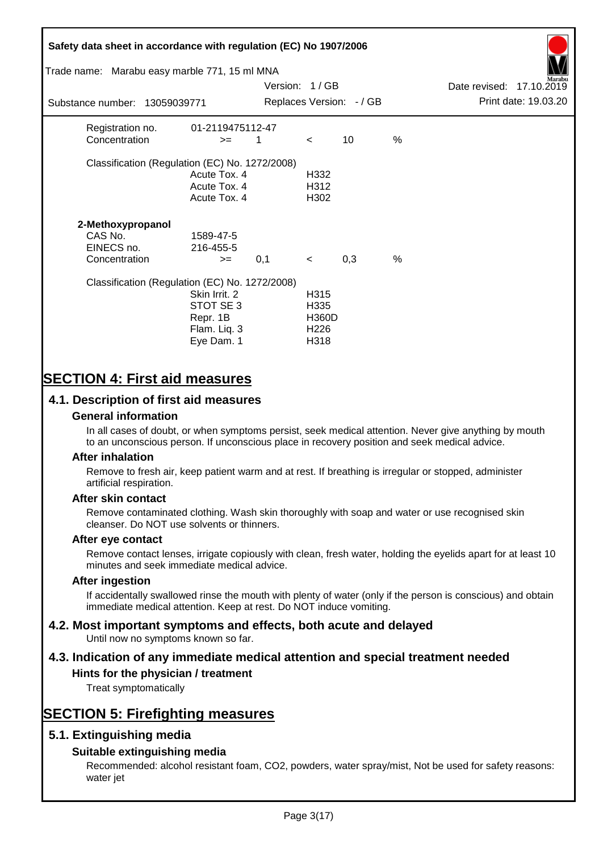## **Safety data sheet in accordance with regulation (EC) No 1907/2006** Substance number: 13059039771 Version: 1 / GB Replaces Version:  $-$  / GB Print date: 19.03.20 Date revised: 17.10.2019 Trade name: Marabu easy marble 771, 15 ml MNA Registration no. 01-2119475112-47  $\text{Concentration}$   $\geq$  1 < 10 % Classification (Regulation (EC) No. 1272/2008) Acute Tox. 4 H332 Acute Tox. 4 H312 Acute Tox. 4 H302 **2-Methoxypropanol** CAS No. 1589-47-5 EINECS no. 216-455-5  $\text{Concentration}$   $\rightarrow$  0.1 < 0.3 % Classification (Regulation (EC) No. 1272/2008) Skin Irrit. 2 H315 STOT SE 3 H335 Repr. 1B H360D Flam. Liq. 3 H226 Eye Dam. 1 H318

## **SECTION 4: First aid measures**

## **4.1. Description of first aid measures**

### **General information**

In all cases of doubt, or when symptoms persist, seek medical attention. Never give anything by mouth to an unconscious person. If unconscious place in recovery position and seek medical advice.

#### **After inhalation**

Remove to fresh air, keep patient warm and at rest. If breathing is irregular or stopped, administer artificial respiration.

#### **After skin contact**

Remove contaminated clothing. Wash skin thoroughly with soap and water or use recognised skin cleanser. Do NOT use solvents or thinners.

#### **After eye contact**

Remove contact lenses, irrigate copiously with clean, fresh water, holding the eyelids apart for at least 10 minutes and seek immediate medical advice.

#### **After ingestion**

If accidentally swallowed rinse the mouth with plenty of water (only if the person is conscious) and obtain immediate medical attention. Keep at rest. Do NOT induce vomiting.

# **4.2. Most important symptoms and effects, both acute and delayed**

Until now no symptoms known so far.

## **4.3. Indication of any immediate medical attention and special treatment needed**

### **Hints for the physician / treatment**

Treat symptomatically

## **SECTION 5: Firefighting measures**

## **5.1. Extinguishing media**

## **Suitable extinguishing media**

Recommended: alcohol resistant foam, CO2, powders, water spray/mist, Not be used for safety reasons: water jet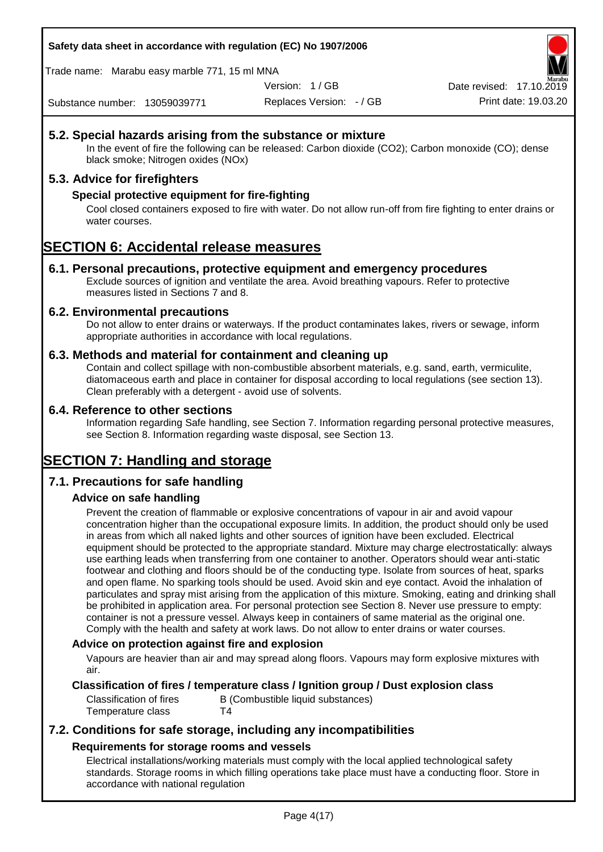#### **Safety data sheet in accordance with regulation (EC) No 1907/2006**

Trade name: Marabu easy marble 771, 15 ml MNA

Version: 1 / GB

Replaces Version: - / GB Print date: 19.03.20 Date revised: 17.10.2

Substance number: 13059039771

## **5.2. Special hazards arising from the substance or mixture**

In the event of fire the following can be released: Carbon dioxide (CO2); Carbon monoxide (CO); dense black smoke; Nitrogen oxides (NOx)

## **5.3. Advice for firefighters**

#### **Special protective equipment for fire-fighting**

Cool closed containers exposed to fire with water. Do not allow run-off from fire fighting to enter drains or water courses.

## **SECTION 6: Accidental release measures**

#### **6.1. Personal precautions, protective equipment and emergency procedures**

Exclude sources of ignition and ventilate the area. Avoid breathing vapours. Refer to protective measures listed in Sections 7 and 8.

#### **6.2. Environmental precautions**

Do not allow to enter drains or waterways. If the product contaminates lakes, rivers or sewage, inform appropriate authorities in accordance with local regulations.

#### **6.3. Methods and material for containment and cleaning up**

Contain and collect spillage with non-combustible absorbent materials, e.g. sand, earth, vermiculite, diatomaceous earth and place in container for disposal according to local regulations (see section 13). Clean preferably with a detergent - avoid use of solvents.

#### **6.4. Reference to other sections**

Information regarding Safe handling, see Section 7. Information regarding personal protective measures, see Section 8. Information regarding waste disposal, see Section 13.

## **SECTION 7: Handling and storage**

## **7.1. Precautions for safe handling**

#### **Advice on safe handling**

Prevent the creation of flammable or explosive concentrations of vapour in air and avoid vapour concentration higher than the occupational exposure limits. In addition, the product should only be used in areas from which all naked lights and other sources of ignition have been excluded. Electrical equipment should be protected to the appropriate standard. Mixture may charge electrostatically: always use earthing leads when transferring from one container to another. Operators should wear anti-static footwear and clothing and floors should be of the conducting type. Isolate from sources of heat, sparks and open flame. No sparking tools should be used. Avoid skin and eye contact. Avoid the inhalation of particulates and spray mist arising from the application of this mixture. Smoking, eating and drinking shall be prohibited in application area. For personal protection see Section 8. Never use pressure to empty: container is not a pressure vessel. Always keep in containers of same material as the original one. Comply with the health and safety at work laws. Do not allow to enter drains or water courses.

#### **Advice on protection against fire and explosion**

Vapours are heavier than air and may spread along floors. Vapours may form explosive mixtures with air.

#### **Classification of fires / temperature class / Ignition group / Dust explosion class**

Classification of fires B (Combustible liquid substances) Temperature class T4

## **7.2. Conditions for safe storage, including any incompatibilities Requirements for storage rooms and vessels**

Electrical installations/working materials must comply with the local applied technological safety standards. Storage rooms in which filling operations take place must have a conducting floor. Store in accordance with national regulation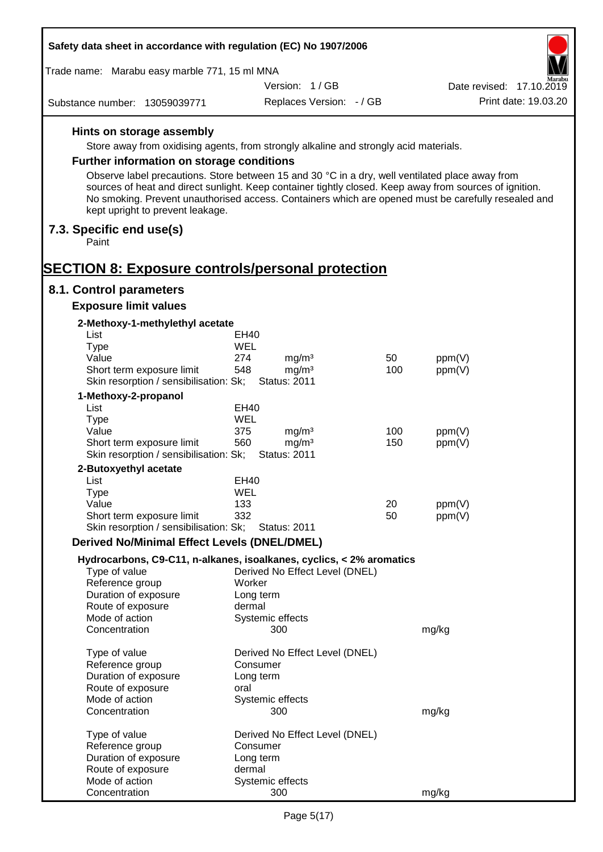| Safety data sheet in accordance with regulation (EC) No 1907/2006                                                                                                                                                                                                                                                 |                          |                                          |     |        |                          |
|-------------------------------------------------------------------------------------------------------------------------------------------------------------------------------------------------------------------------------------------------------------------------------------------------------------------|--------------------------|------------------------------------------|-----|--------|--------------------------|
| Trade name: Marabu easy marble 771, 15 ml MNA                                                                                                                                                                                                                                                                     |                          |                                          |     |        |                          |
|                                                                                                                                                                                                                                                                                                                   |                          | Version: 1/GB                            |     |        | Date revised: 17.10.2019 |
| Substance number: 13059039771                                                                                                                                                                                                                                                                                     |                          | Replaces Version: - / GB                 |     |        | Print date: 19.03.20     |
| Hints on storage assembly                                                                                                                                                                                                                                                                                         |                          |                                          |     |        |                          |
| Store away from oxidising agents, from strongly alkaline and strongly acid materials.                                                                                                                                                                                                                             |                          |                                          |     |        |                          |
| <b>Further information on storage conditions</b>                                                                                                                                                                                                                                                                  |                          |                                          |     |        |                          |
| Observe label precautions. Store between 15 and 30 °C in a dry, well ventilated place away from<br>sources of heat and direct sunlight. Keep container tightly closed. Keep away from sources of ignition.<br>No smoking. Prevent unauthorised access. Containers which are opened must be carefully resealed and |                          |                                          |     |        |                          |
| kept upright to prevent leakage.<br>7.3. Specific end use(s)                                                                                                                                                                                                                                                      |                          |                                          |     |        |                          |
| Paint                                                                                                                                                                                                                                                                                                             |                          |                                          |     |        |                          |
| <b>SECTION 8: Exposure controls/personal protection</b>                                                                                                                                                                                                                                                           |                          |                                          |     |        |                          |
| 8.1. Control parameters                                                                                                                                                                                                                                                                                           |                          |                                          |     |        |                          |
| <b>Exposure limit values</b>                                                                                                                                                                                                                                                                                      |                          |                                          |     |        |                          |
| 2-Methoxy-1-methylethyl acetate<br>List                                                                                                                                                                                                                                                                           | EH40                     |                                          |     |        |                          |
| <b>Type</b>                                                                                                                                                                                                                                                                                                       | WEL                      |                                          |     |        |                          |
| Value                                                                                                                                                                                                                                                                                                             | 274                      | mg/m <sup>3</sup>                        | 50  | ppm(V) |                          |
| Short term exposure limit<br>Skin resorption / sensibilisation: Sk;                                                                                                                                                                                                                                               | 548                      | mg/m <sup>3</sup><br><b>Status: 2011</b> | 100 | ppm(V) |                          |
| 1-Methoxy-2-propanol                                                                                                                                                                                                                                                                                              |                          |                                          |     |        |                          |
| List                                                                                                                                                                                                                                                                                                              | <b>EH40</b>              |                                          |     |        |                          |
| <b>Type</b>                                                                                                                                                                                                                                                                                                       | WEL                      |                                          |     |        |                          |
| Value                                                                                                                                                                                                                                                                                                             | 375                      | mg/m <sup>3</sup>                        | 100 | ppm(V) |                          |
| Short term exposure limit<br>Skin resorption / sensibilisation: Sk;                                                                                                                                                                                                                                               | 560                      | mg/m <sup>3</sup><br><b>Status: 2011</b> | 150 | ppm(V) |                          |
| 2-Butoxyethyl acetate                                                                                                                                                                                                                                                                                             |                          |                                          |     |        |                          |
| List                                                                                                                                                                                                                                                                                                              | <b>EH40</b>              |                                          |     |        |                          |
| Type                                                                                                                                                                                                                                                                                                              | WEL                      |                                          |     |        |                          |
| Value                                                                                                                                                                                                                                                                                                             | 133                      |                                          | 20  | ppm(V) |                          |
| Short term exposure limit<br>Skin resorption / sensibilisation: Sk;                                                                                                                                                                                                                                               | 332                      | <b>Status: 2011</b>                      | 50  | ppm(V) |                          |
| <b>Derived No/Minimal Effect Levels (DNEL/DMEL)</b>                                                                                                                                                                                                                                                               |                          |                                          |     |        |                          |
| Hydrocarbons, C9-C11, n-alkanes, isoalkanes, cyclics, < 2% aromatics                                                                                                                                                                                                                                              |                          |                                          |     |        |                          |
| Type of value                                                                                                                                                                                                                                                                                                     |                          | Derived No Effect Level (DNEL)           |     |        |                          |
| Reference group                                                                                                                                                                                                                                                                                                   | Worker                   |                                          |     |        |                          |
| Duration of exposure<br>Route of exposure                                                                                                                                                                                                                                                                         | Long term<br>dermal      |                                          |     |        |                          |
| Mode of action                                                                                                                                                                                                                                                                                                    | Systemic effects         |                                          |     |        |                          |
| Concentration                                                                                                                                                                                                                                                                                                     |                          | 300                                      |     | mg/kg  |                          |
| Type of value                                                                                                                                                                                                                                                                                                     |                          | Derived No Effect Level (DNEL)           |     |        |                          |
| Reference group                                                                                                                                                                                                                                                                                                   | Consumer                 |                                          |     |        |                          |
| Duration of exposure                                                                                                                                                                                                                                                                                              | Long term                |                                          |     |        |                          |
| Route of exposure<br>Mode of action                                                                                                                                                                                                                                                                               | oral<br>Systemic effects |                                          |     |        |                          |
| Concentration                                                                                                                                                                                                                                                                                                     |                          | 300                                      |     | mg/kg  |                          |
| Type of value                                                                                                                                                                                                                                                                                                     |                          | Derived No Effect Level (DNEL)           |     |        |                          |
| Reference group                                                                                                                                                                                                                                                                                                   | Consumer                 |                                          |     |        |                          |
| Duration of exposure                                                                                                                                                                                                                                                                                              | Long term                |                                          |     |        |                          |
| Route of exposure                                                                                                                                                                                                                                                                                                 | dermal                   |                                          |     |        |                          |
| Mode of action<br>Concentration                                                                                                                                                                                                                                                                                   | Systemic effects         | 300                                      |     | mg/kg  |                          |
|                                                                                                                                                                                                                                                                                                                   |                          |                                          |     |        |                          |

Г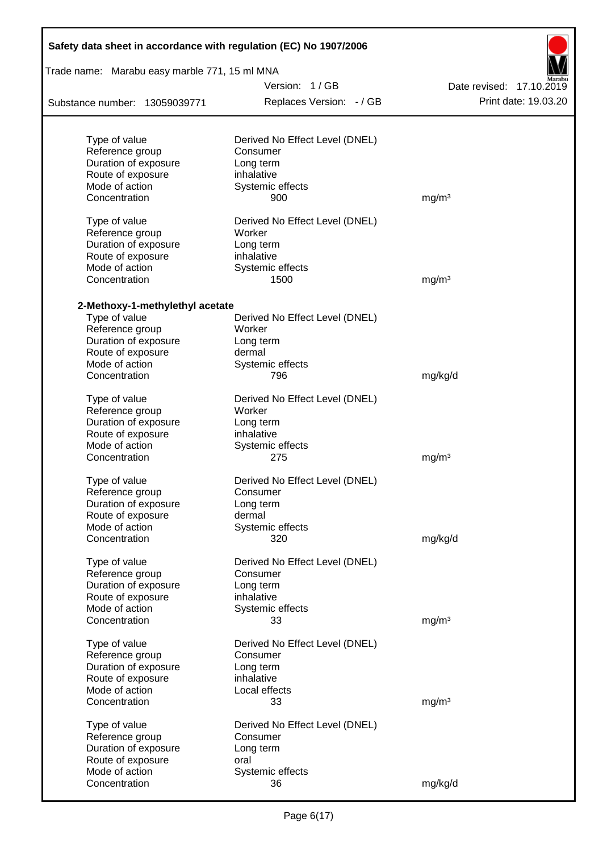|                                               | Safety data sheet in accordance with regulation (EC) No 1907/2006 |                          |  |  |  |  |
|-----------------------------------------------|-------------------------------------------------------------------|--------------------------|--|--|--|--|
| Trade name: Marabu easy marble 771, 15 ml MNA |                                                                   |                          |  |  |  |  |
|                                               | Version: 1/GB                                                     | Date revised: 17.10.2019 |  |  |  |  |
| Substance number: 13059039771                 | Replaces Version: - / GB                                          | Print date: 19.03.20     |  |  |  |  |
| Type of value                                 | Derived No Effect Level (DNEL)                                    |                          |  |  |  |  |
| Reference group                               | Consumer                                                          |                          |  |  |  |  |
| Duration of exposure                          | Long term                                                         |                          |  |  |  |  |
| Route of exposure                             | inhalative                                                        |                          |  |  |  |  |
| Mode of action                                | Systemic effects                                                  |                          |  |  |  |  |
| Concentration                                 | 900                                                               | mg/m <sup>3</sup>        |  |  |  |  |
| Type of value                                 | Derived No Effect Level (DNEL)                                    |                          |  |  |  |  |
| Reference group                               | Worker                                                            |                          |  |  |  |  |
| Duration of exposure                          | Long term                                                         |                          |  |  |  |  |
| Route of exposure                             | inhalative                                                        |                          |  |  |  |  |
| Mode of action                                | Systemic effects                                                  |                          |  |  |  |  |
| Concentration                                 | 1500                                                              | mg/m <sup>3</sup>        |  |  |  |  |
| 2-Methoxy-1-methylethyl acetate               |                                                                   |                          |  |  |  |  |
| Type of value                                 | Derived No Effect Level (DNEL)                                    |                          |  |  |  |  |
| Reference group                               | Worker                                                            |                          |  |  |  |  |
| Duration of exposure                          | Long term                                                         |                          |  |  |  |  |
| Route of exposure                             | dermal                                                            |                          |  |  |  |  |
| Mode of action                                | Systemic effects                                                  |                          |  |  |  |  |
| Concentration                                 | 796                                                               | mg/kg/d                  |  |  |  |  |
| Type of value                                 | Derived No Effect Level (DNEL)                                    |                          |  |  |  |  |
| Reference group                               | Worker                                                            |                          |  |  |  |  |
| Duration of exposure                          | Long term                                                         |                          |  |  |  |  |
| Route of exposure                             | inhalative                                                        |                          |  |  |  |  |
| Mode of action                                | Systemic effects                                                  |                          |  |  |  |  |
| Concentration                                 | 275                                                               | mg/m <sup>3</sup>        |  |  |  |  |
| Type of value                                 | Derived No Effect Level (DNEL)                                    |                          |  |  |  |  |
| Reference group                               | Consumer                                                          |                          |  |  |  |  |
| Duration of exposure                          | Long term                                                         |                          |  |  |  |  |
| Route of exposure                             | dermal                                                            |                          |  |  |  |  |
| Mode of action                                | Systemic effects                                                  |                          |  |  |  |  |
| Concentration                                 | 320                                                               | mg/kg/d                  |  |  |  |  |
| Type of value                                 | Derived No Effect Level (DNEL)                                    |                          |  |  |  |  |
| Reference group                               | Consumer                                                          |                          |  |  |  |  |
| Duration of exposure                          | Long term                                                         |                          |  |  |  |  |
| Route of exposure                             | inhalative                                                        |                          |  |  |  |  |
| Mode of action                                | Systemic effects                                                  |                          |  |  |  |  |
| Concentration                                 | 33                                                                | mg/m <sup>3</sup>        |  |  |  |  |
| Type of value                                 | Derived No Effect Level (DNEL)                                    |                          |  |  |  |  |
| Reference group                               | Consumer                                                          |                          |  |  |  |  |
| Duration of exposure                          | Long term                                                         |                          |  |  |  |  |
| Route of exposure                             | inhalative                                                        |                          |  |  |  |  |
| Mode of action                                | Local effects                                                     |                          |  |  |  |  |
| Concentration                                 | 33                                                                | mg/m <sup>3</sup>        |  |  |  |  |
| Type of value                                 | Derived No Effect Level (DNEL)                                    |                          |  |  |  |  |
| Reference group                               | Consumer                                                          |                          |  |  |  |  |
| Duration of exposure                          | Long term                                                         |                          |  |  |  |  |
| Route of exposure                             | oral                                                              |                          |  |  |  |  |
| Mode of action                                | Systemic effects                                                  |                          |  |  |  |  |
| Concentration                                 | 36                                                                | mg/kg/d                  |  |  |  |  |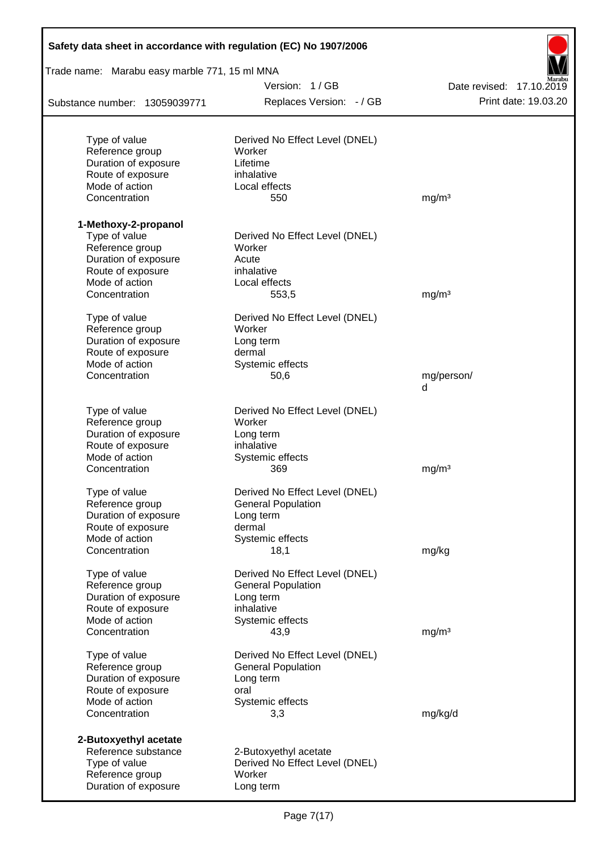| Safety data sheet in accordance with regulation (EC) No 1907/2006 |                                |                          |
|-------------------------------------------------------------------|--------------------------------|--------------------------|
| Trade name: Marabu easy marble 771, 15 ml MNA                     |                                |                          |
|                                                                   | Version: 1/GB                  | Date revised: 17.10.2019 |
| Substance number: 13059039771                                     | Replaces Version: - / GB       | Print date: 19.03.20     |
| Type of value                                                     | Derived No Effect Level (DNEL) |                          |
| Reference group                                                   | Worker                         |                          |
| Duration of exposure                                              | Lifetime                       |                          |
| Route of exposure                                                 | inhalative                     |                          |
| Mode of action                                                    | Local effects                  |                          |
| Concentration                                                     | 550                            | mg/m <sup>3</sup>        |
| 1-Methoxy-2-propanol                                              |                                |                          |
| Type of value                                                     | Derived No Effect Level (DNEL) |                          |
| Reference group                                                   | Worker                         |                          |
| Duration of exposure                                              | Acute                          |                          |
| Route of exposure                                                 | inhalative                     |                          |
| Mode of action                                                    | Local effects                  |                          |
| Concentration                                                     | 553,5                          | mg/m <sup>3</sup>        |
| Type of value                                                     | Derived No Effect Level (DNEL) |                          |
| Reference group                                                   | Worker                         |                          |
| Duration of exposure                                              | Long term                      |                          |
| Route of exposure                                                 | dermal                         |                          |
| Mode of action                                                    | Systemic effects               |                          |
| Concentration                                                     | 50,6                           | mg/person/<br>d          |
| Type of value                                                     | Derived No Effect Level (DNEL) |                          |
| Reference group                                                   | Worker                         |                          |
| Duration of exposure                                              | Long term                      |                          |
| Route of exposure                                                 | inhalative                     |                          |
| Mode of action                                                    | Systemic effects               |                          |
| Concentration                                                     | 369                            | mg/m <sup>3</sup>        |
| Type of value                                                     | Derived No Effect Level (DNEL) |                          |
| Reference group                                                   | <b>General Population</b>      |                          |
| Duration of exposure                                              | Long term                      |                          |
| Route of exposure                                                 | dermal                         |                          |
| Mode of action                                                    | Systemic effects               |                          |
| Concentration                                                     | 18,1                           | mg/kg                    |
| Type of value                                                     | Derived No Effect Level (DNEL) |                          |
| Reference group                                                   | <b>General Population</b>      |                          |
| Duration of exposure                                              | Long term<br>inhalative        |                          |
| Route of exposure<br>Mode of action                               | Systemic effects               |                          |
| Concentration                                                     | 43,9                           | mg/m <sup>3</sup>        |
| Type of value                                                     | Derived No Effect Level (DNEL) |                          |
| Reference group                                                   | <b>General Population</b>      |                          |
| Duration of exposure                                              | Long term                      |                          |
| Route of exposure                                                 | oral                           |                          |
| Mode of action                                                    | Systemic effects               |                          |
| Concentration                                                     | 3,3                            | mg/kg/d                  |
| 2-Butoxyethyl acetate                                             |                                |                          |
| Reference substance                                               | 2-Butoxyethyl acetate          |                          |
| Type of value                                                     | Derived No Effect Level (DNEL) |                          |
| Reference group                                                   | Worker                         |                          |
| Duration of exposure                                              | Long term                      |                          |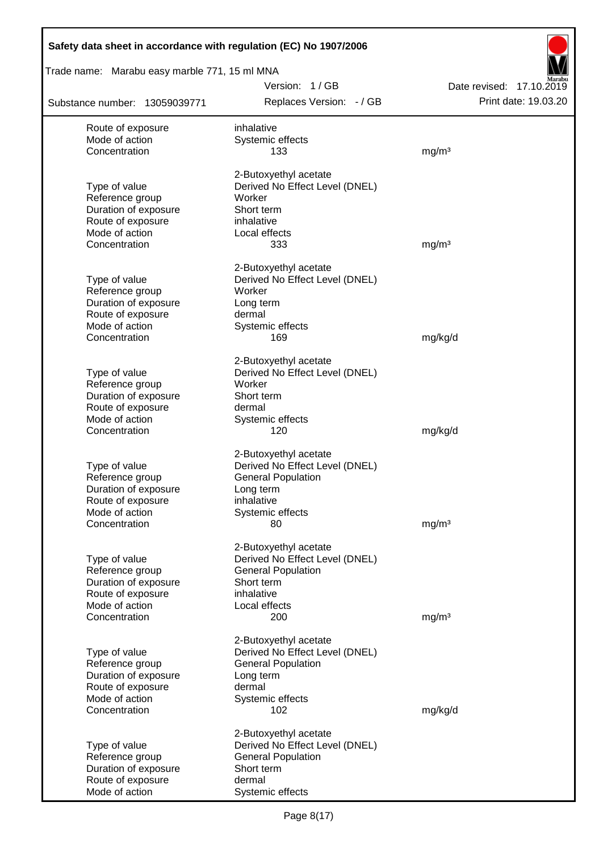| Safety data sheet in accordance with regulation (EC) No 1907/2006 |                                                         |                                                  |
|-------------------------------------------------------------------|---------------------------------------------------------|--------------------------------------------------|
| Trade name: Marabu easy marble 771, 15 ml MNA                     |                                                         |                                                  |
| Substance number: 13059039771                                     | Version: 1/GB<br>Replaces Version: - / GB               | Date revised: 17.10.2019<br>Print date: 19.03.20 |
|                                                                   |                                                         |                                                  |
| Route of exposure<br>Mode of action                               | inhalative<br>Systemic effects                          |                                                  |
| Concentration                                                     | 133                                                     | mg/m <sup>3</sup>                                |
|                                                                   | 2-Butoxyethyl acetate                                   |                                                  |
| Type of value                                                     | Derived No Effect Level (DNEL)                          |                                                  |
| Reference group                                                   | Worker                                                  |                                                  |
| Duration of exposure<br>Route of exposure                         | Short term<br>inhalative                                |                                                  |
| Mode of action                                                    | Local effects                                           |                                                  |
| Concentration                                                     | 333                                                     | mg/m <sup>3</sup>                                |
|                                                                   | 2-Butoxyethyl acetate                                   |                                                  |
| Type of value                                                     | Derived No Effect Level (DNEL)                          |                                                  |
| Reference group                                                   | Worker                                                  |                                                  |
| Duration of exposure                                              | Long term                                               |                                                  |
| Route of exposure<br>Mode of action                               | dermal                                                  |                                                  |
| Concentration                                                     | Systemic effects<br>169                                 | mg/kg/d                                          |
|                                                                   | 2-Butoxyethyl acetate                                   |                                                  |
| Type of value                                                     | Derived No Effect Level (DNEL)                          |                                                  |
| Reference group                                                   | Worker                                                  |                                                  |
| Duration of exposure                                              | Short term                                              |                                                  |
| Route of exposure<br>Mode of action                               | dermal                                                  |                                                  |
| Concentration                                                     | Systemic effects<br>120                                 | mg/kg/d                                          |
|                                                                   | 2-Butoxyethyl acetate                                   |                                                  |
| Type of value                                                     | Derived No Effect Level (DNEL)                          |                                                  |
| Reference group                                                   | <b>General Population</b>                               |                                                  |
| Duration of exposure                                              | Long term                                               |                                                  |
| Route of exposure                                                 | inhalative                                              |                                                  |
| Mode of action<br>Concentration                                   | Systemic effects<br>80                                  | mg/m <sup>3</sup>                                |
|                                                                   |                                                         |                                                  |
| Type of value                                                     | 2-Butoxyethyl acetate<br>Derived No Effect Level (DNEL) |                                                  |
| Reference group                                                   | <b>General Population</b>                               |                                                  |
| Duration of exposure                                              | Short term                                              |                                                  |
| Route of exposure                                                 | inhalative                                              |                                                  |
| Mode of action                                                    | Local effects                                           |                                                  |
| Concentration                                                     | 200                                                     | mg/m <sup>3</sup>                                |
|                                                                   | 2-Butoxyethyl acetate                                   |                                                  |
| Type of value                                                     | Derived No Effect Level (DNEL)                          |                                                  |
| Reference group<br>Duration of exposure                           | <b>General Population</b><br>Long term                  |                                                  |
| Route of exposure                                                 | dermal                                                  |                                                  |
| Mode of action                                                    | Systemic effects                                        |                                                  |
| Concentration                                                     | 102                                                     | mg/kg/d                                          |
|                                                                   | 2-Butoxyethyl acetate                                   |                                                  |
| Type of value                                                     | Derived No Effect Level (DNEL)                          |                                                  |
| Reference group<br>Duration of exposure                           | <b>General Population</b><br>Short term                 |                                                  |
| Route of exposure                                                 | dermal                                                  |                                                  |
| Mode of action                                                    | Systemic effects                                        |                                                  |

Г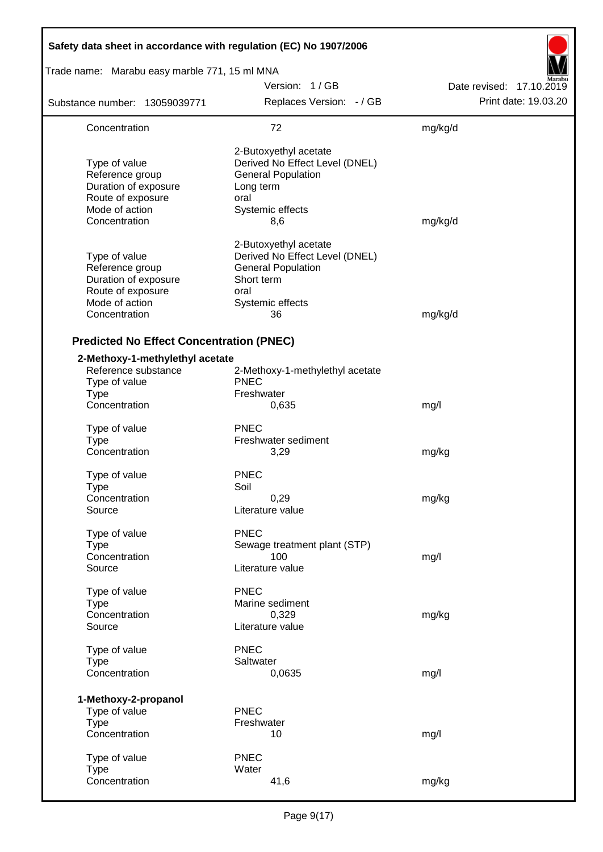| Safety data sheet in accordance with regulation (EC) No 1907/2006                                                |                                                                                                                                      |                          |
|------------------------------------------------------------------------------------------------------------------|--------------------------------------------------------------------------------------------------------------------------------------|--------------------------|
| Trade name: Marabu easy marble 771, 15 ml MNA                                                                    |                                                                                                                                      |                          |
|                                                                                                                  | Version: 1/GB                                                                                                                        | Date revised: 17.10.2019 |
| Substance number: 13059039771                                                                                    | Replaces Version: - / GB                                                                                                             | Print date: 19.03.20     |
| Concentration                                                                                                    | 72                                                                                                                                   | mg/kg/d                  |
| Type of value<br>Reference group<br>Duration of exposure<br>Route of exposure<br>Mode of action<br>Concentration | 2-Butoxyethyl acetate<br>Derived No Effect Level (DNEL)<br><b>General Population</b><br>Long term<br>oral<br>Systemic effects<br>8,6 | mg/kg/d                  |
| Type of value<br>Reference group<br>Duration of exposure<br>Route of exposure<br>Mode of action<br>Concentration | 2-Butoxyethyl acetate<br>Derived No Effect Level (DNEL)<br><b>General Population</b><br>Short term<br>oral<br>Systemic effects<br>36 | mg/kg/d                  |
| <b>Predicted No Effect Concentration (PNEC)</b>                                                                  |                                                                                                                                      |                          |
| 2-Methoxy-1-methylethyl acetate<br>Reference substance<br>Type of value<br><b>Type</b><br>Concentration          | 2-Methoxy-1-methylethyl acetate<br><b>PNEC</b><br>Freshwater<br>0,635                                                                | mg/l                     |
| Type of value<br><b>Type</b><br>Concentration                                                                    | <b>PNEC</b><br>Freshwater sediment<br>3,29                                                                                           | mg/kg                    |
| Type of value<br>Type<br>Concentration<br>Source                                                                 | <b>PNEC</b><br>Soil<br>0,29<br>Literature value                                                                                      | mg/kg                    |
| Type of value<br><b>Type</b><br>Concentration<br>Source                                                          | <b>PNEC</b><br>Sewage treatment plant (STP)<br>100<br>Literature value                                                               | mg/l                     |
| Type of value<br><b>Type</b><br>Concentration<br>Source                                                          | <b>PNEC</b><br>Marine sediment<br>0,329<br>Literature value                                                                          | mg/kg                    |
| Type of value<br><b>Type</b><br>Concentration                                                                    | <b>PNEC</b><br>Saltwater<br>0,0635                                                                                                   | mg/l                     |
| 1-Methoxy-2-propanol<br>Type of value<br><b>Type</b><br>Concentration                                            | <b>PNEC</b><br>Freshwater<br>10                                                                                                      | mg/l                     |
| Type of value<br><b>Type</b><br>Concentration                                                                    | <b>PNEC</b><br>Water<br>41,6                                                                                                         | mg/kg                    |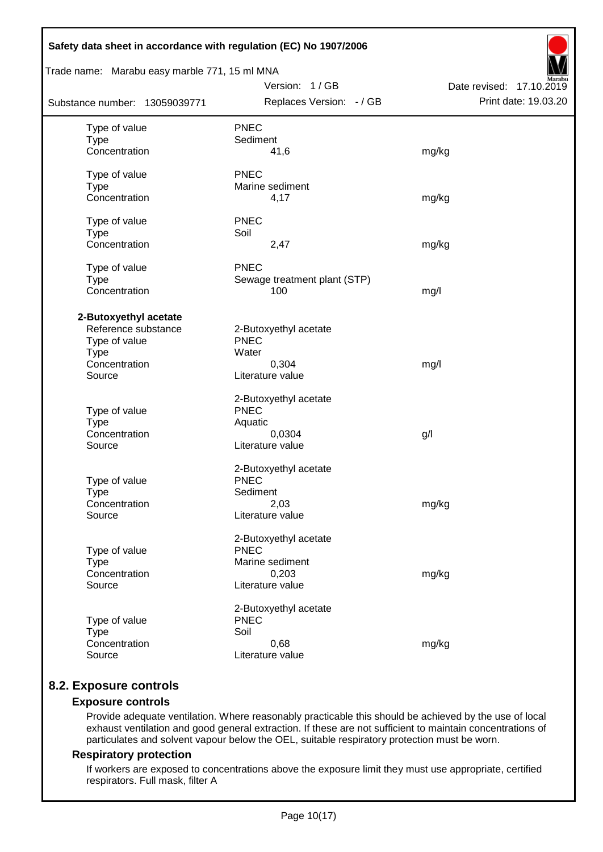| Safety data sheet in accordance with regulation (EC) No 1907/2006                                       |                                                                                      |                                                  |
|---------------------------------------------------------------------------------------------------------|--------------------------------------------------------------------------------------|--------------------------------------------------|
| Trade name: Marabu easy marble 771, 15 ml MNA                                                           |                                                                                      |                                                  |
| Substance number: 13059039771                                                                           | Version: 1/GB<br>Replaces Version: - / GB                                            | Date revised: 17.10.2019<br>Print date: 19.03.20 |
| Type of value<br><b>Type</b><br>Concentration                                                           | <b>PNEC</b><br>Sediment<br>41,6                                                      | mg/kg                                            |
| Type of value<br><b>Type</b><br>Concentration                                                           | <b>PNEC</b><br>Marine sediment<br>4,17                                               | mg/kg                                            |
| Type of value<br><b>Type</b><br>Concentration                                                           | <b>PNEC</b><br>Soil<br>2,47                                                          | mg/kg                                            |
| Type of value<br><b>Type</b><br>Concentration                                                           | <b>PNEC</b><br>Sewage treatment plant (STP)<br>100                                   | mg/l                                             |
| 2-Butoxyethyl acetate<br>Reference substance<br>Type of value<br><b>Type</b><br>Concentration<br>Source | 2-Butoxyethyl acetate<br><b>PNEC</b><br>Water<br>0,304<br>Literature value           | mg/l                                             |
| Type of value<br><b>Type</b><br>Concentration<br>Source                                                 | 2-Butoxyethyl acetate<br><b>PNEC</b><br>Aquatic<br>0,0304<br>Literature value        | g/l                                              |
| Type of value<br><b>Type</b><br>Concentration<br>Source                                                 | 2-Butoxyethyl acetate<br><b>PNEC</b><br>Sediment<br>2,03<br>Literature value         | mg/kg                                            |
| Type of value<br><b>Type</b><br>Concentration<br>Source                                                 | 2-Butoxyethyl acetate<br><b>PNEC</b><br>Marine sediment<br>0,203<br>Literature value | mg/kg                                            |
| Type of value<br><b>Type</b><br>Concentration<br>Source                                                 | 2-Butoxyethyl acetate<br><b>PNEC</b><br>Soil<br>0,68<br>Literature value             | mg/kg                                            |

## **8.2. Exposure controls**

## **Exposure controls**

Provide adequate ventilation. Where reasonably practicable this should be achieved by the use of local exhaust ventilation and good general extraction. If these are not sufficient to maintain concentrations of particulates and solvent vapour below the OEL, suitable respiratory protection must be worn.

### **Respiratory protection**

If workers are exposed to concentrations above the exposure limit they must use appropriate, certified respirators. Full mask, filter A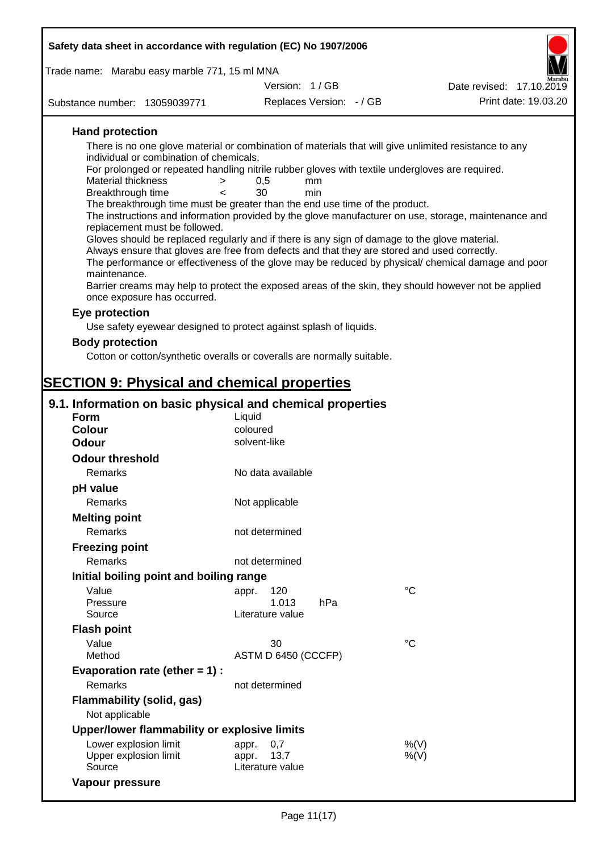| Safety data sheet in accordance with regulation (EC) No 1907/2006 |                                                                                                 |                                                                                                       |
|-------------------------------------------------------------------|-------------------------------------------------------------------------------------------------|-------------------------------------------------------------------------------------------------------|
| Trade name: Marabu easy marble 771, 15 ml MNA                     |                                                                                                 |                                                                                                       |
|                                                                   | Version: 1/GB                                                                                   | Date revised: 17.10.2019                                                                              |
| Substance number: 13059039771                                     | Replaces Version: - / GB                                                                        | Print date: 19.03.20                                                                                  |
|                                                                   |                                                                                                 |                                                                                                       |
| <b>Hand protection</b>                                            |                                                                                                 |                                                                                                       |
| individual or combination of chemicals.                           |                                                                                                 | There is no one glove material or combination of materials that will give unlimited resistance to any |
|                                                                   | For prolonged or repeated handling nitrile rubber gloves with textile undergloves are required. |                                                                                                       |
| <b>Material thickness</b><br>>                                    | 0,5<br>mm                                                                                       |                                                                                                       |
| Breakthrough time<br>$\prec$                                      | 30<br>min                                                                                       |                                                                                                       |
|                                                                   | The breakthrough time must be greater than the end use time of the product.                     | The instructions and information provided by the glove manufacturer on use, storage, maintenance and  |
| replacement must be followed.                                     |                                                                                                 |                                                                                                       |
|                                                                   | Gloves should be replaced regularly and if there is any sign of damage to the glove material.   |                                                                                                       |
|                                                                   | Always ensure that gloves are free from defects and that they are stored and used correctly.    | The performance or effectiveness of the glove may be reduced by physical/ chemical damage and poor    |
| maintenance.                                                      |                                                                                                 |                                                                                                       |
| once exposure has occurred.                                       |                                                                                                 | Barrier creams may help to protect the exposed areas of the skin, they should however not be applied  |
| Eye protection                                                    |                                                                                                 |                                                                                                       |
|                                                                   | Use safety eyewear designed to protect against splash of liquids.                               |                                                                                                       |
| <b>Body protection</b>                                            |                                                                                                 |                                                                                                       |
|                                                                   | Cotton or cotton/synthetic overalls or coveralls are normally suitable.                         |                                                                                                       |
|                                                                   |                                                                                                 |                                                                                                       |
| <b>SECTION 9: Physical and chemical properties</b>                |                                                                                                 |                                                                                                       |
| 9.1. Information on basic physical and chemical properties        |                                                                                                 |                                                                                                       |
| <b>Form</b>                                                       | Liquid                                                                                          |                                                                                                       |
| <b>Colour</b>                                                     | coloured                                                                                        |                                                                                                       |
| <b>Odour</b>                                                      | solvent-like                                                                                    |                                                                                                       |
| <b>Odour threshold</b>                                            |                                                                                                 |                                                                                                       |
| Remarks                                                           | No data available                                                                               |                                                                                                       |
| pH value                                                          |                                                                                                 |                                                                                                       |
| <b>Remarks</b>                                                    | Not applicable                                                                                  |                                                                                                       |
| <b>Melting point</b>                                              |                                                                                                 |                                                                                                       |
| Remarks                                                           | not determined                                                                                  |                                                                                                       |
| <b>Freezing point</b>                                             |                                                                                                 |                                                                                                       |
| Remarks                                                           | not determined                                                                                  |                                                                                                       |
| Initial boiling point and boiling range                           |                                                                                                 |                                                                                                       |
| Value                                                             | 120<br>appr.                                                                                    | $^{\circ}C$                                                                                           |
| Pressure                                                          | 1.013<br>hPa                                                                                    |                                                                                                       |
| Source                                                            | Literature value                                                                                |                                                                                                       |
| <b>Flash point</b>                                                |                                                                                                 |                                                                                                       |
| Value<br>Method                                                   | 30<br>ASTM D 6450 (CCCFP)                                                                       | $^{\circ}C$                                                                                           |
| Evaporation rate (ether $= 1$ ) :                                 |                                                                                                 |                                                                                                       |
| Remarks                                                           | not determined                                                                                  |                                                                                                       |
|                                                                   |                                                                                                 |                                                                                                       |
| <b>Flammability (solid, gas)</b><br>Not applicable                |                                                                                                 |                                                                                                       |
| Upper/lower flammability or explosive limits                      |                                                                                                 |                                                                                                       |

| Opper/lower Hammability or explosive illinity |                  |      |
|-----------------------------------------------|------------------|------|
| Lower explosion limit                         | appr. 0.7        | %(V) |
| Upper explosion limit                         | appr. 13.7       | %(V) |
| Source                                        | Literature value |      |
| Vapour pressure                               |                  |      |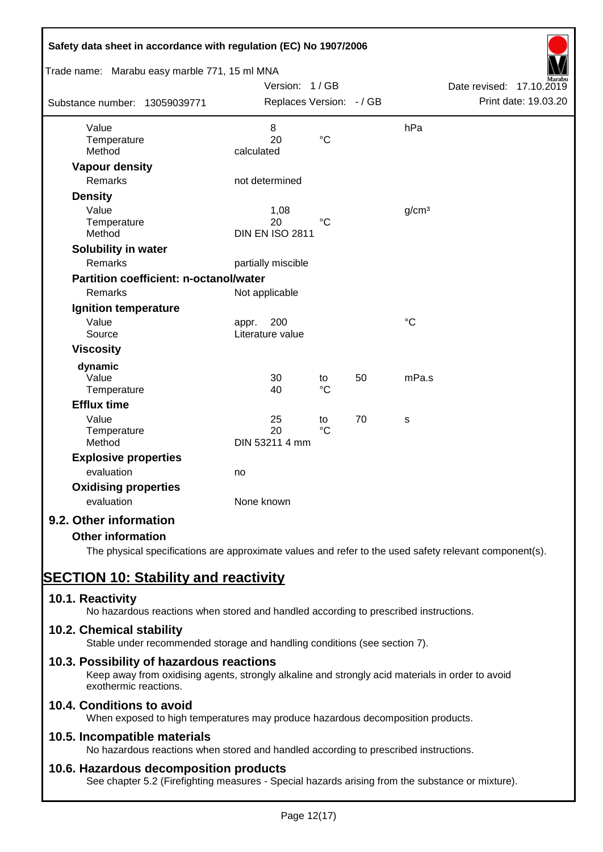| Safety data sheet in accordance with regulation (EC) No 1907/2006<br>Trade name: Marabu easy marble 771, 15 ml MNA |                                           |                       |    |                   |                                                  |
|--------------------------------------------------------------------------------------------------------------------|-------------------------------------------|-----------------------|----|-------------------|--------------------------------------------------|
| Substance number: 13059039771                                                                                      | Version: 1/GB<br>Replaces Version: - / GB |                       |    |                   | Date revised: 17.10.2019<br>Print date: 19.03.20 |
| Value<br>Temperature<br>Method                                                                                     | 8<br>20<br>calculated                     | $\rm ^{\circ}C$       |    | hPa               |                                                  |
| <b>Vapour density</b><br>Remarks                                                                                   | not determined                            |                       |    |                   |                                                  |
| <b>Density</b><br>Value<br>Temperature<br>Method                                                                   | 1,08<br>20<br><b>DIN EN ISO 2811</b>      | $^{\circ}C$           |    | g/cm <sup>3</sup> |                                                  |
| Solubility in water<br>Remarks                                                                                     | partially miscible                        |                       |    |                   |                                                  |
| Partition coefficient: n-octanol/water<br>Remarks                                                                  | Not applicable                            |                       |    |                   |                                                  |
| Ignition temperature<br>Value<br>Source                                                                            | 200<br>appr.<br>Literature value          |                       |    | $\rm ^{\circ}C$   |                                                  |
| <b>Viscosity</b>                                                                                                   |                                           |                       |    |                   |                                                  |
| dynamic<br>Value<br>Temperature                                                                                    | 30<br>40                                  | to<br>$\rm ^{\circ}C$ | 50 | mPa.s             |                                                  |
| <b>Efflux time</b>                                                                                                 |                                           |                       |    |                   |                                                  |
| Value<br>Temperature<br>Method                                                                                     | 25<br>20<br>DIN 53211 4 mm                | to<br>$\rm ^{\circ}C$ | 70 | s                 |                                                  |
| <b>Explosive properties</b><br>evaluation                                                                          | no                                        |                       |    |                   |                                                  |
| <b>Oxidising properties</b><br>evaluation                                                                          | None known                                |                       |    |                   |                                                  |
| 9.2. Other information                                                                                             |                                           |                       |    |                   |                                                  |
| <b>Other information</b>                                                                                           |                                           |                       |    |                   |                                                  |

The physical specifications are approximate values and refer to the used safety relevant component(s).

# **SECTION 10: Stability and reactivity**

## **10.1. Reactivity**

No hazardous reactions when stored and handled according to prescribed instructions.

#### **10.2. Chemical stability**

Stable under recommended storage and handling conditions (see section 7).

#### **10.3. Possibility of hazardous reactions**

Keep away from oxidising agents, strongly alkaline and strongly acid materials in order to avoid exothermic reactions.

## **10.4. Conditions to avoid**

When exposed to high temperatures may produce hazardous decomposition products.

#### **10.5. Incompatible materials**

No hazardous reactions when stored and handled according to prescribed instructions.

#### **10.6. Hazardous decomposition products**

See chapter 5.2 (Firefighting measures - Special hazards arising from the substance or mixture).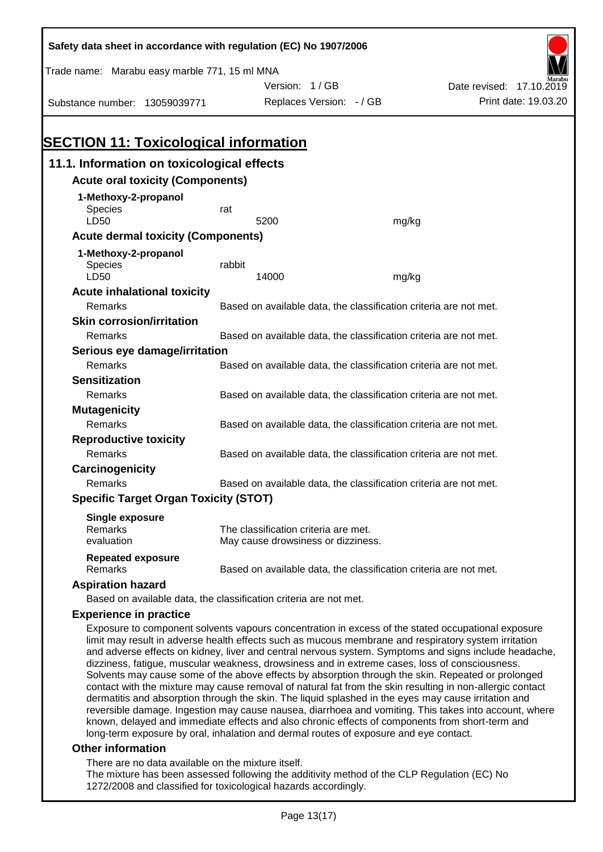| Safety data sheet in accordance with regulation (EC) No 1907/2006                                    |                                                                   |                                                                   |       |                                                                                                    |  |  |
|------------------------------------------------------------------------------------------------------|-------------------------------------------------------------------|-------------------------------------------------------------------|-------|----------------------------------------------------------------------------------------------------|--|--|
| Trade name: Marabu easy marble 771, 15 ml MNA                                                        |                                                                   |                                                                   |       |                                                                                                    |  |  |
|                                                                                                      |                                                                   | Version: 1/GB                                                     |       | Date revised: 17.10.2019                                                                           |  |  |
| Substance number: 13059039771                                                                        |                                                                   | Replaces Version: - / GB                                          |       | Print date: 19.03.20                                                                               |  |  |
|                                                                                                      |                                                                   |                                                                   |       |                                                                                                    |  |  |
|                                                                                                      |                                                                   |                                                                   |       |                                                                                                    |  |  |
| <b>SECTION 11: Toxicological information</b>                                                         |                                                                   |                                                                   |       |                                                                                                    |  |  |
| 11.1. Information on toxicological effects                                                           |                                                                   |                                                                   |       |                                                                                                    |  |  |
| <b>Acute oral toxicity (Components)</b>                                                              |                                                                   |                                                                   |       |                                                                                                    |  |  |
| 1-Methoxy-2-propanol                                                                                 |                                                                   |                                                                   |       |                                                                                                    |  |  |
| <b>Species</b>                                                                                       | rat                                                               |                                                                   |       |                                                                                                    |  |  |
| LD50                                                                                                 |                                                                   | 5200                                                              | mg/kg |                                                                                                    |  |  |
| <b>Acute dermal toxicity (Components)</b>                                                            |                                                                   |                                                                   |       |                                                                                                    |  |  |
| 1-Methoxy-2-propanol                                                                                 |                                                                   |                                                                   |       |                                                                                                    |  |  |
| Species                                                                                              | rabbit                                                            |                                                                   |       |                                                                                                    |  |  |
| LD50                                                                                                 |                                                                   | 14000                                                             | mg/kg |                                                                                                    |  |  |
| <b>Acute inhalational toxicity</b>                                                                   |                                                                   |                                                                   |       |                                                                                                    |  |  |
| Remarks                                                                                              |                                                                   | Based on available data, the classification criteria are not met. |       |                                                                                                    |  |  |
| <b>Skin corrosion/irritation</b>                                                                     |                                                                   |                                                                   |       |                                                                                                    |  |  |
| Remarks                                                                                              | Based on available data, the classification criteria are not met. |                                                                   |       |                                                                                                    |  |  |
| Serious eye damage/irritation                                                                        |                                                                   |                                                                   |       |                                                                                                    |  |  |
| Remarks                                                                                              |                                                                   | Based on available data, the classification criteria are not met. |       |                                                                                                    |  |  |
| <b>Sensitization</b>                                                                                 |                                                                   |                                                                   |       |                                                                                                    |  |  |
| Remarks                                                                                              | Based on available data, the classification criteria are not met. |                                                                   |       |                                                                                                    |  |  |
| <b>Mutagenicity</b>                                                                                  |                                                                   |                                                                   |       |                                                                                                    |  |  |
| Remarks                                                                                              | Based on available data, the classification criteria are not met. |                                                                   |       |                                                                                                    |  |  |
| <b>Reproductive toxicity</b>                                                                         |                                                                   |                                                                   |       |                                                                                                    |  |  |
| Remarks                                                                                              |                                                                   | Based on available data, the classification criteria are not met. |       |                                                                                                    |  |  |
| Carcinogenicity                                                                                      |                                                                   |                                                                   |       |                                                                                                    |  |  |
| Remarks                                                                                              |                                                                   | Based on available data, the classification criteria are not met. |       |                                                                                                    |  |  |
| <b>Specific Target Organ Toxicity (STOT)</b>                                                         |                                                                   |                                                                   |       |                                                                                                    |  |  |
| <b>Single exposure</b>                                                                               |                                                                   |                                                                   |       |                                                                                                    |  |  |
| Remarks                                                                                              |                                                                   | The classification criteria are met.                              |       |                                                                                                    |  |  |
| evaluation                                                                                           |                                                                   | May cause drowsiness or dizziness.                                |       |                                                                                                    |  |  |
| <b>Repeated exposure</b>                                                                             |                                                                   |                                                                   |       |                                                                                                    |  |  |
| Remarks                                                                                              |                                                                   | Based on available data, the classification criteria are not met. |       |                                                                                                    |  |  |
| <b>Aspiration hazard</b>                                                                             |                                                                   |                                                                   |       |                                                                                                    |  |  |
| Based on available data, the classification criteria are not met.                                    |                                                                   |                                                                   |       |                                                                                                    |  |  |
| <b>Experience in practice</b>                                                                        |                                                                   |                                                                   |       |                                                                                                    |  |  |
|                                                                                                      |                                                                   |                                                                   |       | Exposure to component solvents vapours concentration in excess of the stated occupational exposure |  |  |
| limit may result in adverse health effects such as mucous membrane and respiratory system irritation |                                                                   |                                                                   |       |                                                                                                    |  |  |

and adverse effects on kidney, liver and central nervous system. Symptoms and signs include headache, dizziness, fatigue, muscular weakness, drowsiness and in extreme cases, loss of consciousness. Solvents may cause some of the above effects by absorption through the skin. Repeated or prolonged contact with the mixture may cause removal of natural fat from the skin resulting in non-allergic contact dermatitis and absorption through the skin. The liquid splashed in the eyes may cause irritation and reversible damage. Ingestion may cause nausea, diarrhoea and vomiting. This takes into account, where known, delayed and immediate effects and also chronic effects of components from short-term and long-term exposure by oral, inhalation and dermal routes of exposure and eye contact.

#### **Other information**

There are no data available on the mixture itself.

The mixture has been assessed following the additivity method of the CLP Regulation (EC) No 1272/2008 and classified for toxicological hazards accordingly.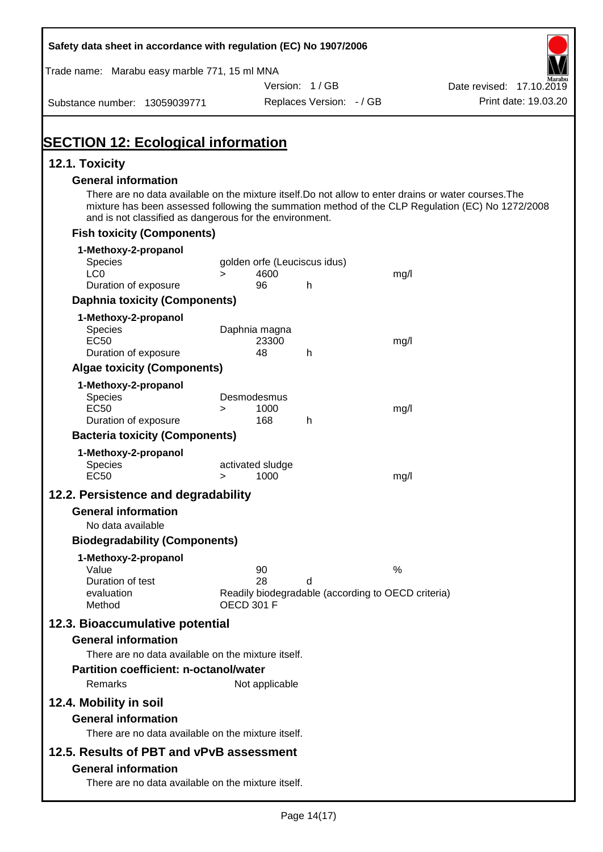| Safety data sheet in accordance with regulation (EC) No 1907/2006                                                                                                |                       |                              |                          |                                                    |                                                                                                  |
|------------------------------------------------------------------------------------------------------------------------------------------------------------------|-----------------------|------------------------------|--------------------------|----------------------------------------------------|--------------------------------------------------------------------------------------------------|
| Trade name: Marabu easy marble 771, 15 ml MNA                                                                                                                    |                       |                              |                          |                                                    |                                                                                                  |
|                                                                                                                                                                  |                       | Version: 1/GB                |                          |                                                    | Date revised: 17.10.2019<br>Print date: 19.03.20                                                 |
| Substance number: 13059039771                                                                                                                                    |                       |                              | Replaces Version: - / GB |                                                    |                                                                                                  |
|                                                                                                                                                                  |                       |                              |                          |                                                    |                                                                                                  |
| <b>SECTION 12: Ecological information</b>                                                                                                                        |                       |                              |                          |                                                    |                                                                                                  |
| 12.1. Toxicity                                                                                                                                                   |                       |                              |                          |                                                    |                                                                                                  |
| <b>General information</b>                                                                                                                                       |                       |                              |                          |                                                    |                                                                                                  |
| There are no data available on the mixture itself. Do not allow to enter drains or water courses. The<br>and is not classified as dangerous for the environment. |                       |                              |                          |                                                    | mixture has been assessed following the summation method of the CLP Regulation (EC) No 1272/2008 |
| <b>Fish toxicity (Components)</b>                                                                                                                                |                       |                              |                          |                                                    |                                                                                                  |
| 1-Methoxy-2-propanol                                                                                                                                             |                       |                              |                          |                                                    |                                                                                                  |
| Species                                                                                                                                                          |                       | golden orfe (Leuciscus idus) |                          |                                                    |                                                                                                  |
| LC <sub>0</sub><br>Duration of exposure                                                                                                                          | $\geq$                | 4600<br>96                   | h                        | mg/l                                               |                                                                                                  |
| <b>Daphnia toxicity (Components)</b>                                                                                                                             |                       |                              |                          |                                                    |                                                                                                  |
| 1-Methoxy-2-propanol                                                                                                                                             |                       |                              |                          |                                                    |                                                                                                  |
| Species                                                                                                                                                          | Daphnia magna         |                              |                          |                                                    |                                                                                                  |
| EC <sub>50</sub>                                                                                                                                                 |                       | 23300                        |                          | mg/l                                               |                                                                                                  |
| Duration of exposure                                                                                                                                             |                       | 48                           | h                        |                                                    |                                                                                                  |
| <b>Algae toxicity (Components)</b>                                                                                                                               |                       |                              |                          |                                                    |                                                                                                  |
| 1-Methoxy-2-propanol<br>Species                                                                                                                                  | Desmodesmus           |                              |                          |                                                    |                                                                                                  |
| <b>EC50</b>                                                                                                                                                      | $\geq$                | 1000                         |                          | mg/l                                               |                                                                                                  |
| Duration of exposure                                                                                                                                             |                       | 168                          | h                        |                                                    |                                                                                                  |
| <b>Bacteria toxicity (Components)</b>                                                                                                                            |                       |                              |                          |                                                    |                                                                                                  |
| 1-Methoxy-2-propanol                                                                                                                                             |                       |                              |                          |                                                    |                                                                                                  |
| <b>Species</b><br><b>EC50</b>                                                                                                                                    | activated sludge<br>> | 1000                         |                          | mg/l                                               |                                                                                                  |
|                                                                                                                                                                  |                       |                              |                          |                                                    |                                                                                                  |
| 12.2. Persistence and degradability                                                                                                                              |                       |                              |                          |                                                    |                                                                                                  |
| <b>General information</b>                                                                                                                                       |                       |                              |                          |                                                    |                                                                                                  |
| No data available                                                                                                                                                |                       |                              |                          |                                                    |                                                                                                  |
| <b>Biodegradability (Components)</b>                                                                                                                             |                       |                              |                          |                                                    |                                                                                                  |
| 1-Methoxy-2-propanol<br>Value                                                                                                                                    |                       | 90                           |                          | %                                                  |                                                                                                  |
| Duration of test                                                                                                                                                 |                       | 28                           | d                        |                                                    |                                                                                                  |
| evaluation<br>Method                                                                                                                                             | <b>OECD 301 F</b>     |                              |                          | Readily biodegradable (according to OECD criteria) |                                                                                                  |
|                                                                                                                                                                  |                       |                              |                          |                                                    |                                                                                                  |
| 12.3. Bioaccumulative potential                                                                                                                                  |                       |                              |                          |                                                    |                                                                                                  |
| <b>General information</b><br>There are no data available on the mixture itself.                                                                                 |                       |                              |                          |                                                    |                                                                                                  |
| <b>Partition coefficient: n-octanol/water</b>                                                                                                                    |                       |                              |                          |                                                    |                                                                                                  |
| Remarks                                                                                                                                                          |                       | Not applicable               |                          |                                                    |                                                                                                  |
|                                                                                                                                                                  |                       |                              |                          |                                                    |                                                                                                  |
| 12.4. Mobility in soil                                                                                                                                           |                       |                              |                          |                                                    |                                                                                                  |
| <b>General information</b><br>There are no data available on the mixture itself.                                                                                 |                       |                              |                          |                                                    |                                                                                                  |
|                                                                                                                                                                  |                       |                              |                          |                                                    |                                                                                                  |
| 12.5. Results of PBT and vPvB assessment                                                                                                                         |                       |                              |                          |                                                    |                                                                                                  |
| <b>General information</b>                                                                                                                                       |                       |                              |                          |                                                    |                                                                                                  |
| There are no data available on the mixture itself.                                                                                                               |                       |                              |                          |                                                    |                                                                                                  |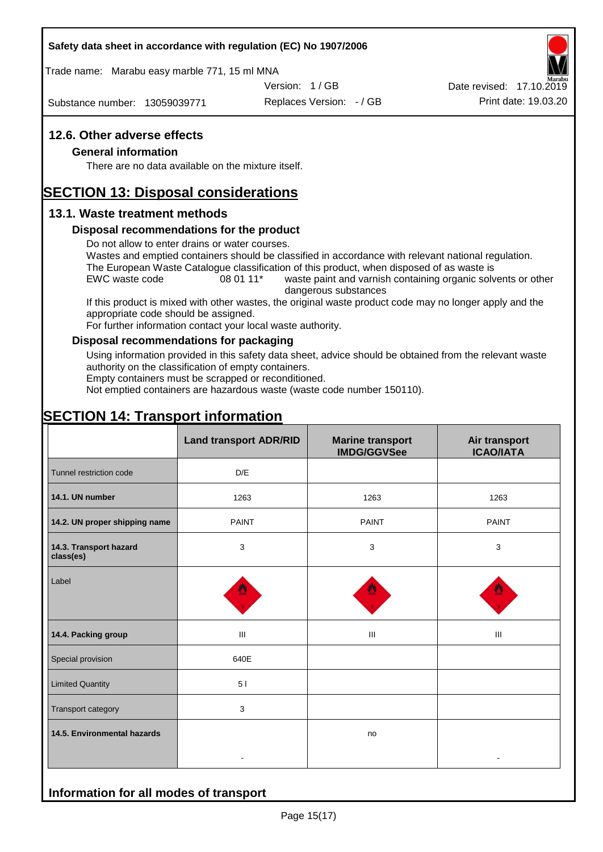#### **Safety data sheet in accordance with regulation (EC) No 1907/2006**

Trade name: Marabu easy marble 771, 15 ml MNA

Version: 1 / GB

Substance number: 13059039771

Replaces Version: - / GB Print date: 19.03.20 Date revised: 17.10.2019

### **12.6. Other adverse effects**

#### **General information**

There are no data available on the mixture itself.

## **SECTION 13: Disposal considerations**

#### **13.1. Waste treatment methods**

#### **Disposal recommendations for the product**

Do not allow to enter drains or water courses.

Wastes and emptied containers should be classified in accordance with relevant national regulation. The European Waste Catalogue classification of this product, when disposed of as waste is

EWC waste code 08 01 11<sup>\*</sup> waste paint and varnish containing organic solvents or other dangerous substances

If this product is mixed with other wastes, the original waste product code may no longer apply and the appropriate code should be assigned.

For further information contact your local waste authority.

#### **Disposal recommendations for packaging**

Using information provided in this safety data sheet, advice should be obtained from the relevant waste authority on the classification of empty containers.

Empty containers must be scrapped or reconditioned.

Not emptied containers are hazardous waste (waste code number 150110).

## **SECTION 14: Transport information**

**Information for all modes of transport**

|                                     | <b>Land transport ADR/RID</b> | <b>Marine transport</b><br><b>IMDG/GGVSee</b> | Air transport<br><b>ICAO/IATA</b> |  |
|-------------------------------------|-------------------------------|-----------------------------------------------|-----------------------------------|--|
| Tunnel restriction code             | D/E                           |                                               |                                   |  |
| 14.1. UN number                     | 1263                          | 1263                                          | 1263                              |  |
| 14.2. UN proper shipping name       | <b>PAINT</b>                  | <b>PAINT</b>                                  | <b>PAINT</b>                      |  |
| 14.3. Transport hazard<br>class(es) | 3                             | 3                                             | 3                                 |  |
| Label                               |                               |                                               |                                   |  |
| 14.4. Packing group                 | Ш                             | Ш                                             | Ш                                 |  |
| Special provision                   | 640E                          |                                               |                                   |  |
| <b>Limited Quantity</b>             | 5 <sub>1</sub>                |                                               |                                   |  |
| Transport category                  | 3                             |                                               |                                   |  |
| 14.5. Environmental hazards         |                               | no                                            |                                   |  |
|                                     |                               |                                               |                                   |  |

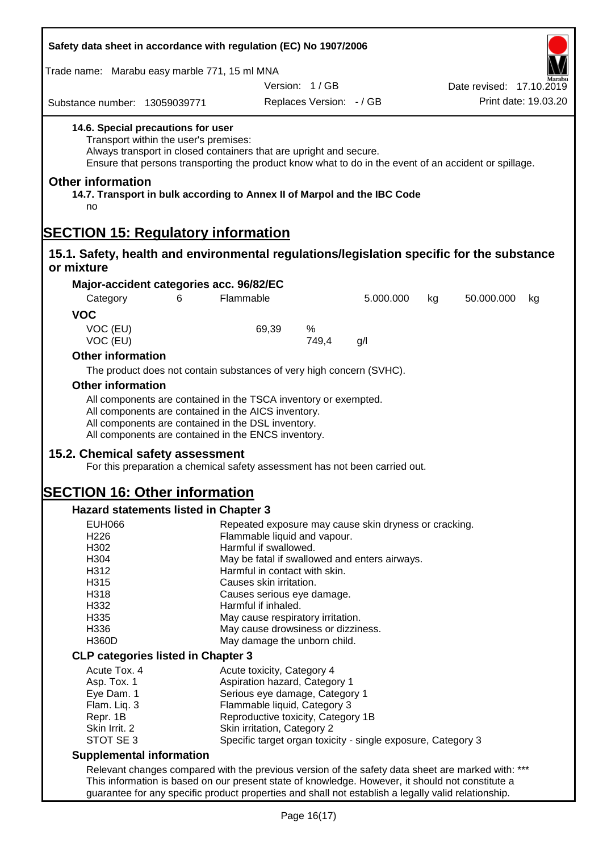| Safety data sheet in accordance with regulation (EC) No 1907/2006                                          |                                                                                                                                                                                                                                     |                                                                                                                |                          |           |    |                          |    |
|------------------------------------------------------------------------------------------------------------|-------------------------------------------------------------------------------------------------------------------------------------------------------------------------------------------------------------------------------------|----------------------------------------------------------------------------------------------------------------|--------------------------|-----------|----|--------------------------|----|
| Trade name: Marabu easy marble 771, 15 ml MNA                                                              |                                                                                                                                                                                                                                     |                                                                                                                |                          |           |    |                          |    |
|                                                                                                            |                                                                                                                                                                                                                                     |                                                                                                                | Version: 1/GB            |           |    | Date revised: 17.10.2019 |    |
| Substance number: 13059039771                                                                              |                                                                                                                                                                                                                                     |                                                                                                                | Replaces Version: - / GB |           |    | Print date: 19.03.20     |    |
| 14.6. Special precautions for user                                                                         | Transport within the user's premises:<br>Always transport in closed containers that are upright and secure.<br>Ensure that persons transporting the product know what to do in the event of an accident or spillage.                |                                                                                                                |                          |           |    |                          |    |
| <b>Other information</b><br>14.7. Transport in bulk according to Annex II of Marpol and the IBC Code<br>no |                                                                                                                                                                                                                                     |                                                                                                                |                          |           |    |                          |    |
| <b>SECTION 15: Regulatory information</b>                                                                  |                                                                                                                                                                                                                                     |                                                                                                                |                          |           |    |                          |    |
| 15.1. Safety, health and environmental regulations/legislation specific for the substance<br>or mixture    |                                                                                                                                                                                                                                     |                                                                                                                |                          |           |    |                          |    |
| Major-accident categories acc. 96/82/EC                                                                    |                                                                                                                                                                                                                                     |                                                                                                                |                          |           |    |                          |    |
| Category                                                                                                   | 6                                                                                                                                                                                                                                   | Flammable                                                                                                      |                          | 5.000.000 | kg | 50.000.000               | kg |
| <b>VOC</b>                                                                                                 |                                                                                                                                                                                                                                     |                                                                                                                |                          |           |    |                          |    |
| VOC (EU)<br>VOC (EU)                                                                                       |                                                                                                                                                                                                                                     | 69,39                                                                                                          | %<br>749,4               | g/l       |    |                          |    |
| <b>Other information</b>                                                                                   |                                                                                                                                                                                                                                     |                                                                                                                |                          |           |    |                          |    |
|                                                                                                            | The product does not contain substances of very high concern (SVHC).                                                                                                                                                                |                                                                                                                |                          |           |    |                          |    |
| <b>Other information</b>                                                                                   |                                                                                                                                                                                                                                     |                                                                                                                |                          |           |    |                          |    |
|                                                                                                            | All components are contained in the TSCA inventory or exempted.<br>All components are contained in the AICS inventory.<br>All components are contained in the DSL inventory.<br>All components are contained in the ENCS inventory. |                                                                                                                |                          |           |    |                          |    |
| 15.2. Chemical safety assessment                                                                           | For this preparation a chemical safety assessment has not been carried out.                                                                                                                                                         |                                                                                                                |                          |           |    |                          |    |
| <b>SECTION 16: Other information</b>                                                                       |                                                                                                                                                                                                                                     |                                                                                                                |                          |           |    |                          |    |
| Hazard statements listed in Chapter 3                                                                      |                                                                                                                                                                                                                                     |                                                                                                                |                          |           |    |                          |    |
| <b>EUH066</b><br>H226<br>H302                                                                              |                                                                                                                                                                                                                                     | Repeated exposure may cause skin dryness or cracking.<br>Flammable liquid and vapour.<br>Harmful if swallowed. |                          |           |    |                          |    |
| H304                                                                                                       |                                                                                                                                                                                                                                     | May be fatal if swallowed and enters airways.                                                                  |                          |           |    |                          |    |
| H312<br>H315                                                                                               |                                                                                                                                                                                                                                     | Harmful in contact with skin.                                                                                  |                          |           |    |                          |    |
| H318                                                                                                       |                                                                                                                                                                                                                                     | Causes skin irritation.<br>Causes serious eye damage.                                                          |                          |           |    |                          |    |
| H332                                                                                                       |                                                                                                                                                                                                                                     | Harmful if inhaled.                                                                                            |                          |           |    |                          |    |
| H335                                                                                                       |                                                                                                                                                                                                                                     | May cause respiratory irritation.                                                                              |                          |           |    |                          |    |
| H336                                                                                                       |                                                                                                                                                                                                                                     | May cause drowsiness or dizziness.<br>May damage the unborn child.                                             |                          |           |    |                          |    |
| <b>H360D</b>                                                                                               |                                                                                                                                                                                                                                     |                                                                                                                |                          |           |    |                          |    |
| <b>CLP categories listed in Chapter 3</b>                                                                  |                                                                                                                                                                                                                                     |                                                                                                                |                          |           |    |                          |    |
| Acute Tox. 4<br>Asp. Tox. 1                                                                                |                                                                                                                                                                                                                                     | Acute toxicity, Category 4                                                                                     |                          |           |    |                          |    |
| Eye Dam. 1                                                                                                 |                                                                                                                                                                                                                                     | Aspiration hazard, Category 1<br>Serious eye damage, Category 1                                                |                          |           |    |                          |    |
| Flam. Liq. 3                                                                                               |                                                                                                                                                                                                                                     | Flammable liquid, Category 3                                                                                   |                          |           |    |                          |    |
| Repr. 1B                                                                                                   |                                                                                                                                                                                                                                     | Reproductive toxicity, Category 1B                                                                             |                          |           |    |                          |    |
| Skin Irrit. 2                                                                                              |                                                                                                                                                                                                                                     | Skin irritation, Category 2<br>Specific target organ toxicity - single exposure, Category 3                    |                          |           |    |                          |    |
| STOT SE 3                                                                                                  |                                                                                                                                                                                                                                     |                                                                                                                |                          |           |    |                          |    |
| <b>Supplemental information</b>                                                                            |                                                                                                                                                                                                                                     |                                                                                                                |                          |           |    |                          |    |
|                                                                                                            | Relevant changes compared with the previous version of the safety data sheet are marked with: ***<br>This information is based on our present state of knowledge. However, it should not constitute a                               |                                                                                                                |                          |           |    |                          |    |
|                                                                                                            | guarantee for any specific product properties and shall not establish a legally valid relationship.                                                                                                                                 |                                                                                                                |                          |           |    |                          |    |